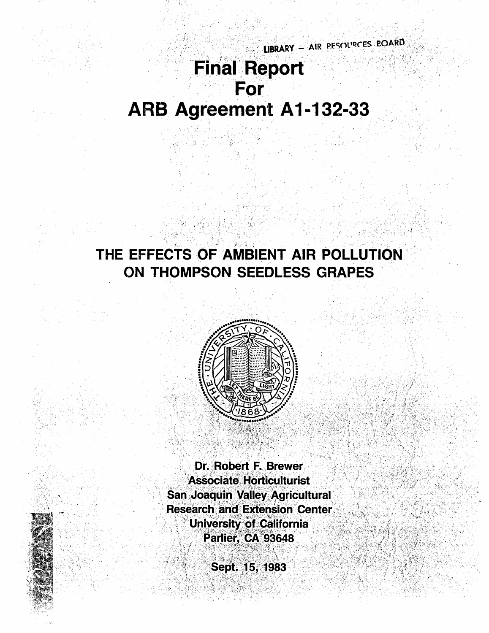# LIBRARY - AIR PESCURCES BOARD **Final Report** For ARB Agreement A1-132-33

## THE EFFECTS OF AMBIENT AIR POLLUTION ON THOMPSON SEEDLESS GRAPES



Dr. Robert F. Brewer **Associate Horticulturist San Joaquin Valley Agricultural Research and Extension Center University of California** Parlier, CA 93648

Sept. 15, 1983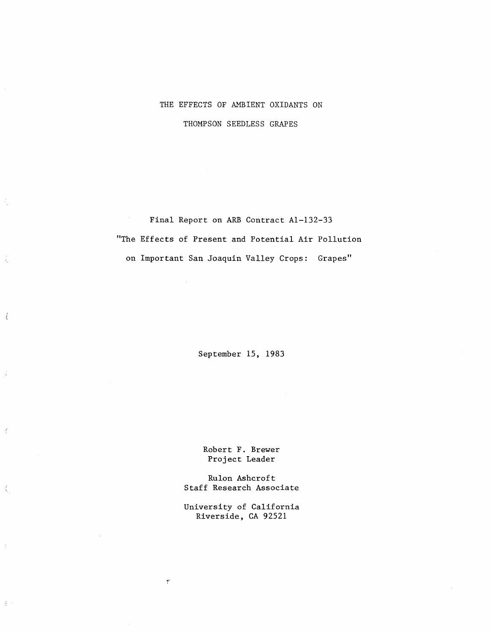### THE EFFECTS OF AMBIENT OXIDANTS ON THOMPSON SEEDLESS GRAPES

Final Report on ARB Contract Al-132-33 "The Effects of Present and Potential Air Pollution on Important San Joaquin Valley Crops: Grapes"

Å,

 $\mathcal{A}$ 

Ć

 $\bar{d}$ 

 $\frac{d}{2\pi}$ 

 $\hat{\zeta}$ 

 $\mathfrak{g}$  .

September 15, 1983

Robert F. Brewer Project Leader

Rulon Ashcroft Staff Research Associate

University of California Riverside, CA 92521

 $\pmb{\tau}$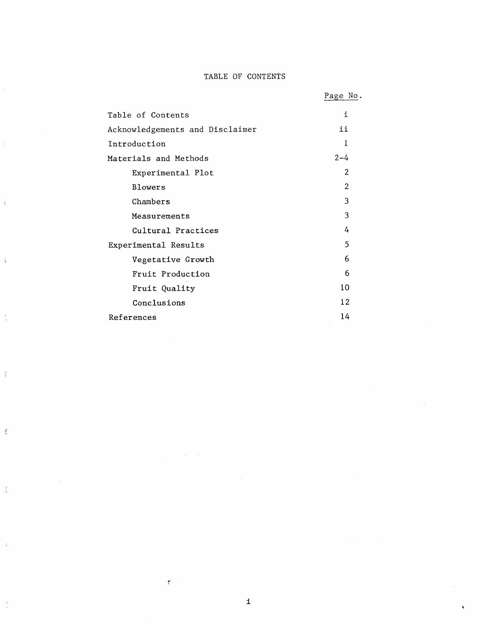#### TABLE OF CONTENTS

|                                 | Page No.       |
|---------------------------------|----------------|
| Table of Contents               | i              |
| Acknowledgements and Disclaimer | ii             |
| Introduction                    | Ł              |
| Materials and Methods           | $2 - 4$        |
| Experimental Plot               | $\overline{2}$ |
| Blowers                         | 2              |
| Chambers                        | 3              |
| Measurements                    | 3              |
| Cultural Practices              | 4              |
| Experimental Results            | 5              |
| Vegetative Growth               | 6              |
| Fruit Production                | 6              |
| Fruit Quality                   | 10             |
| Conclusions                     | 12             |
| References                      | 14             |

ć,

 $\bar{\mathfrak{t}}$ 

 $\frac{1}{2}$ 

 $\frac{1}{2}$ 

 $\mathbf{f}$ 

 $\frac{1}{2}$ 

 $\frac{1}{\lambda}$ 

 $\bar{\vec{x}}$ 

 $\overline{\phantom{a}}$ 

 $\bar{\tau}$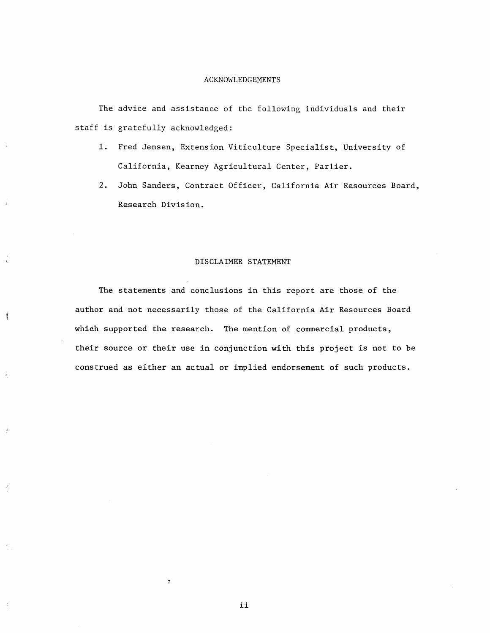#### ACKNOWLEDGEMENTS

The advice and assistance of the following individuals and their staff is gratefully acknowledged:

- 1. Fred Jensen, Extension Viticulture Specialist, University of California, Kearney Agricultural Center, Parlier.
- 2. John Sanders, Contract Officer, California Air Resources Board, Research Division.

#### DISCLAIMER STATEMENT

The statements and conclusions in this report are those of the author and not necessarily those of the California Air Resources Board which supported the research. The mention of commercial products, their source or their use in conjunction with this project is not to be construed as either an actual or implied endorsement of such products.

ſ

 $\overline{\mathcal{I}}$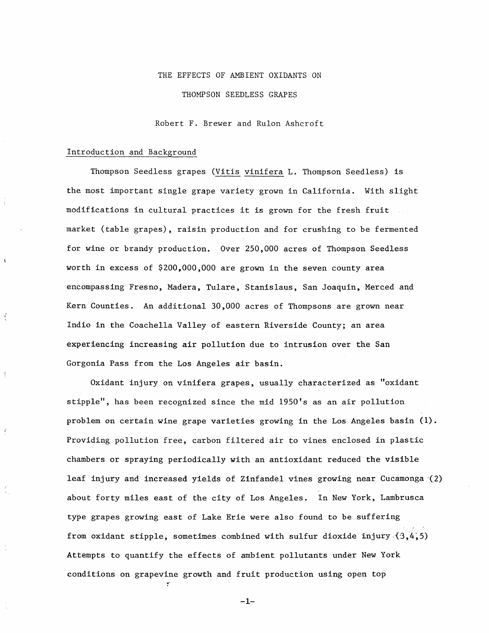#### THE EFFECTS OF AMBIENT OXIDANTS ON

THOMPSON SEEDLESS GRAPES

Robert F. Brewer and Rulon Ashcroft

#### Introduction and Background

 $\frac{4}{2}$ 

Thompson Seedless grapes (Vitis vinifera L. Thompson Seedless) is the most important single grape variety grown in California. With slight modifications in cultural practices it is grown for the fresh fruit market (table grapes), raisin production and for crushing to be fermented for wine or brandy production. Over 250,000 acres of Thompson Seedless worth in excess of \$200,000,000 are grown in the seven county area encompassing Fresno, Madera, Tulare, Stanislaus, San Joaquin, Merced and Kern Counties. An additional 30,000 acres of Thompsons are grown near Indio in the Coachella Valley of eastern Riverside County; an area experiencing increasing air pollution due to intrusion over the San Gorgonia Pass from the Los Angeles air basin.

Oxidant injury on vinifera grapes, usually characterized as "oxidant stipple", has been recognized since the mid 195O's as an air pollution problem on certain wine grape varieties growing in the Los Angeles basin (1). Providing pollution free, carbon filtered air to vines enclosed in plastic chambers or spraying periodically with an antioxidant reduced the visible leaf injury and increased yields of Zinfandel vines growing near Cucamonga ·{2) about forty miles east of the city of Los Angeles. In New York, Lambrusca type grapes growing east of Lake Erie were also found to be suffering from oxidant stipple, sometimes combined with sulfur dioxide injury  $(3,4,5)$ Attempts to quantify the effects of ambient pollutants under New York conditions on grapevine growth and fruit production using open top

 $-1-$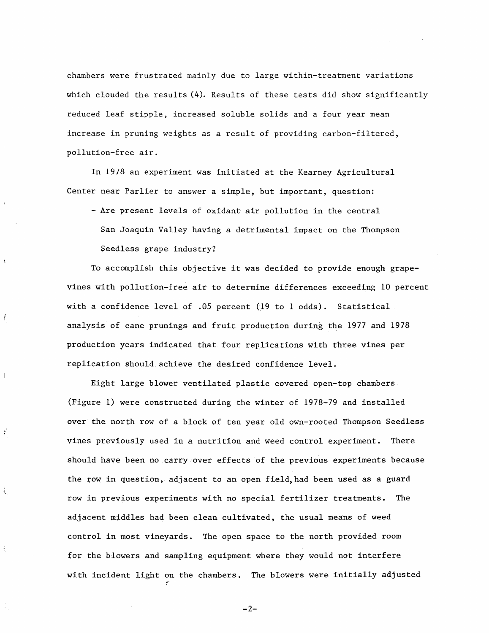chambers were frustrated mainly due to large within-treatment variations which clouded the results (4). Results of these tests did show significantly reduced leaf stipple, increased soluble solids and a four year mean increase in pruning weights as a result of providing carbon-filtered, pollution-free air.

In 1978 an experiment was initiated at the Kearney Agricultural Center near Parlier to answer a simple, but important, question:

 $\mathbf{A}$ 

Ţ

 $\int$ 

 $\epsilon$ 

₹

- Are present levels of oxidant air pollution in the central San Joaquin Valley having a detrimental impact on the Thompson Seedless grape industry?

To accomplish this objective it was decided to provide enough grapevines with pollution-free air to determine differences exceeding 10 percent with a confidence level of .05 percent (19 to 1 odds). Statistical analysis of cane prunings and fruit production during the 1977 and 1978 production years indicated that four replications with three vines per replication should. achieve the desired confidence level.

Eight large blower ventilated plastic covered open-top chambers (Figure 1) were constructed during the winter of 1978-79 and installed over the north row of a block of ten year old own-rooted Thompson Seedless vines previously used in a nutrition and weed control experiment. There should have. been no carry over effects of the previous experiments because the row in question, adjacent to an open field,had been used as a guard row in previous experiments with no special fertilizer treatments. The adjacent middles had been clean cultivated, the usual means of weed control in most vineyards. The open space to the north provided room for the blowers and sampling equipment where they would not interfere with incident light on the chambers. The blowers were initially adjusted

 $-2-$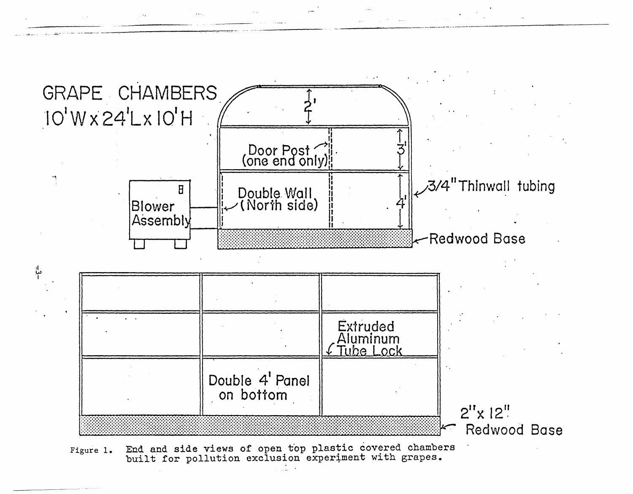

End and side views of open top plastic covered chambers<br>built for pollution exclusion experiment with grapes. Figure 1.

 $\overline{a}$  and  $\overline{a}$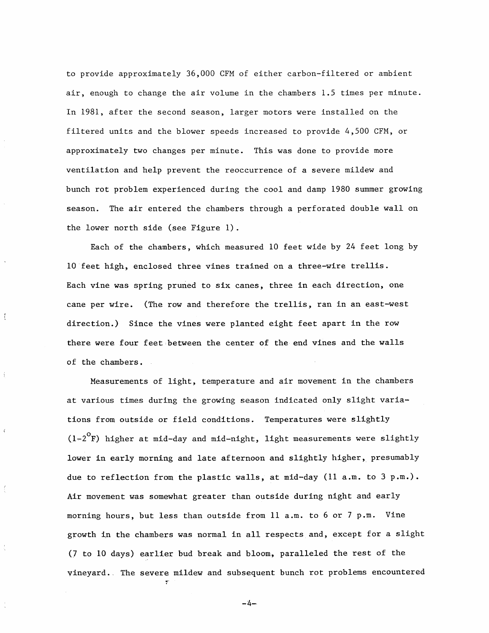to provide approximately 36,000 CFM of either carbon-filtered or ambient air, enough to change the air volume in the chambers 1.5 times per minute. In 1981, after the second season, larger motors were installed on the filtered units and the blower speeds increased to provide 4,500 CFM, or approximately two changes per minute. This was done to provide more ventilation and help prevent the reoccurrence of a severe mildew and bunch rot problem experienced during the cool and damp 1980 summer growing season. The air entered the chambers through a perforated double wall on the lower north side (see Figure 1).

Each of the chambers, which measured 10 feet wide by 24 feet long by 1o·feet high, enclosed three vines trained on a three-wire trellis. Each vine was spring pruned to six canes, three in each direction, one cane per wire. (The row and therefore the trellis, ran in an east-west direction.) Since the vines were planted eight feet apart in the row there were four feet between the center of the end vines and the walls of the chambers.

 $\mathfrak{f}$ 

 $\hat{A}$ 

 $\tilde{A}$ 

Measurements of light, temperature and air movement in the chambers at various times during the growing season indicated only slight variations from outside or field conditions. Temperatures were slightly  $(1-2^{\circ}F)$  higher at mid-day and mid-night, light measurements were slightly lower in early morning and late afternoon and slightly higher, presumably due to reflection from the plastic walls, at mid-day (11 a.m. to 3 p.m.). Air movement was somewhat greater than outside during night and early morning hours, but less than outside from 11 a.m. to 6 or 7 p.m. Vine growth in the chambers was normal in all respects and, except for a slight (7 to 10 days) earlier bud break and bloom, paralleled the rest of the vineyard .. The severe mildew and subsequent bunch rot problems encountered

 $-4-$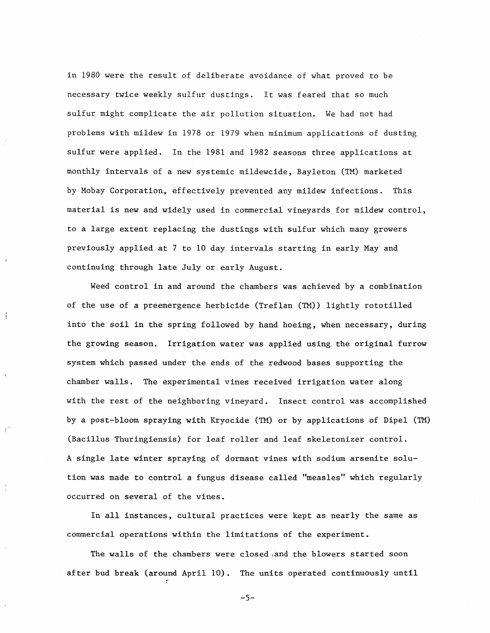in 1980 were the result of deliberate avoidance of what proved to be necessary twice weekly sulfur dustings. It was feared that so much sulfur might complicate the air pollution situation. We had not had problems with mildew in 1978 or 1979 when minimum applications of dusting sulfur were applied. In the 1981 and 1982 seasons three applications at monthly intervals of a new systemic mildewcide, Bayleton (TM) marketed by Mobay Corporation, effectively prevented any mildew infections. This material is new and widely used in commercial vineyards for mildew control, to a large extent replacing the dustings with sulfur which many growers previously applied at 7 to 10 day intervals starting in early May and continuing through late July or early August.

Weed control in and around the chambers was achieved by a combination of the use of a preemergence herbicide (Treflan (TM)) lightly rototilled into the soil in the spring followed by hand hoeing, when necessary, during the growing season. Irrigation water was applied using the original furrow system which passed under the ends of the redwood bases supporting the chamber walls. The experimental vines received irrigation water along with the rest of the neighboring vineyard. Insect control was accomplished by a post-bloom spraying with Kryocide (TM) or by applications of Dipel (TM) (Bacillus Thuringiensis) for leaf roller and leaf skeletonizer control. A single late winter spraying of dormant vines with sodium arsenite solution was made to control a fungus disease called "measles" which regularly occurred on several of the vines.

Ť

 $\mathbf{f}^{\prime}$ 

In all instances, cultural practices were kept as nearly the same as commercial operations within the limitations of the experiment.

The walls of the chambers were closed 1and the blowers started soon after bud break (around April 10). The units operated continuously until

-5-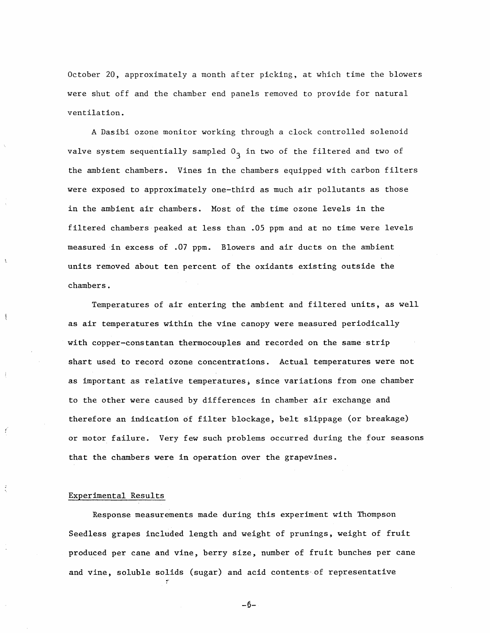October 20, approximately a month after picking, at which time the blowers were shut off and the chamber end panels removed to provide for natural ventilation.

A Dasibi ozone monitor working through a clock controlled solenoid valve system sequentially sampled  $0<sub>3</sub>$  in two of the filtered and two of the ambient chambers. Vines in the chambers equipped with carbon filters were exposed to approximately one-third as much air pollutants as those in the ambient air chambers. Most of the time ozone levels in the filtered chambers peaked at less than .05 ppm and at no time were levels measured in excess of .07 ppm. Blowers and air ducts on the ambient units removed about ten percent of the oxidants existing outside the chambers.

Temperatures of air entering the ambient and filtered units, as well as air temperatures within the vine canopy were measured periodically with copper-constantan thermocouples and recorded on the same·strip shart used to record ozone concentrations. Actual temperatures were not as important as relative temperatures; since variations from one chamber to the other were caused by differences in chamber air exchange and therefore an indication of filter blockage, belt slippage (or breakage) or motor failure. Very few such problems occurred during the four seasons that the chambers were in operation over the grapevines.

#### Experimental Results

ĵ

 $\epsilon$ 

Response measurements made during this experiment with Thompson Seedless grapes included length and weight of prunings, weight of fruit produced per cane and vine, berry size, number of fruit bunches per cane and vine, soluble solids (sugar) and acid contents·of representative

-6-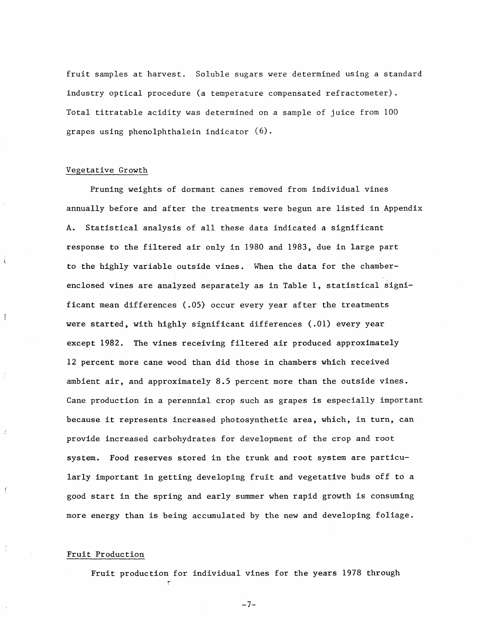fruit samples at harvest. Soluble sugars were determined using a standard industry optical procedure (a temperature compensated refractometer). Total titratable acidity was determined on a sample of juice from 100 grapes using phenolphthalein indicator (6).

#### Vegetative Growth

Ť

Pruning weights of dormant canes removed from individual vines annually before and after the treatments were begun are listed in Appendix A. Statistical analysis of all these data indicated a significant response to the filtered air only in 1980 and 1983, due in large part to the highly variable outside vines. When the data for the chamberenclosed vines are analyzed separately as in Table 1, statistical significant mean differences (.05) occur every year after the treatments were started, with highly significant differences (.01) every year except 1982. The vines receiving filtered air produced approximately 12 percent more cane wood than did those in chambers which received ambient air, and approximately 8.5 percent more than the outside vines. Cane production in a perennial crop such as grapes is especially important because it represents. increased photosynthetic area, which, in turn, can provide increased carbohydrates for development of the crop and root system. Food reserves stored in the trunk and root system are particularly important in getting developing fruit and vegetative buds off to a good start in the spring and early summer when rapid growth is consuming more energy than is being accumulated by the new and developing foliage.

#### Fruit Production

Fruit production for individual vines for the years 1978 through

-7-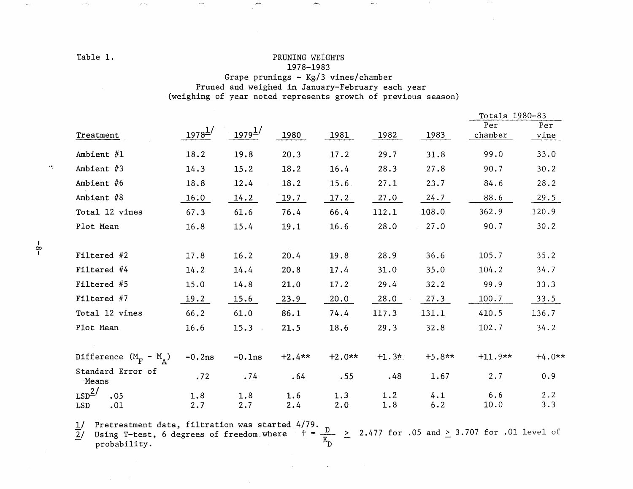#### Table 1.

#### PRUNING WEIGHTS 1978-1983

 $\mu^2$ 

#### Grape prunings -  $Kg/3$  vines/chamber Pruned and weighed in January-February each year (weighing of year noted represents growth of previous season)

|                                                    |              |                      |          |          |         |          | Totals 1980-83 |             |  |
|----------------------------------------------------|--------------|----------------------|----------|----------|---------|----------|----------------|-------------|--|
| Treatment                                          | $1978^{1/2}$ | $1979^{\frac{1}{2}}$ | 1980     | 1981     | 1982    | 1983     | Per<br>chamber | Per<br>vine |  |
| Ambient $#1$                                       | 18.2         | 19.8                 | 20.3     | 17.2     | 29.7    | 31.8     | 99.0           | 33.0        |  |
| Ambient #3                                         | 14.3         | 15.2                 | 18.2     | 16.4     | 28.3    | 27.8     | 90.7           | 30.2        |  |
| Ambient #6                                         | 18.8         | 12.4                 | 18.2     | 15.6     | 27.1    | 23.7     | 84.6           | 28.2        |  |
| Ambient #8                                         | 16.0         | 14.2                 | 19.7     | 17.2     | 27.0    | 24.7     | 88.6           | 29.5        |  |
| Total 12 vines                                     | 67.3         | 61.6                 | 76.4     | 66.4     | 112.1   | 108.0    | 362.9          | 120.9       |  |
| Plot Mean                                          | 16.8         | 15.4                 | 19.1     | 16.6     | 28.0    | 27.0     | 90.7           | 30.2        |  |
| Filtered $#2$                                      | 17.8         | 16.2                 | 20.4     | 19.8     | 28.9    | 36.6     | 105.7          | 35.2        |  |
| Filtered #4                                        | 14.2         | 14.4                 | 20.8     | 17.4     | 31.0    | 35.0     | 104.2          | 34.7        |  |
| Filtered #5                                        | 15.0         | 14.8                 | 21.0     | 17.2     | 29.4    | 32.2     | 99.9           | 33.3        |  |
| Filtered $#7$                                      | 19.2         | 15.6                 | 23.9     | 20.0     | 28.0    | 27.3     | 100.7          | 33.5        |  |
| Total 12 vines                                     | 66.2         | 61.0                 | 86.1     | 74.4     | 117.3   | 131.1    | 410.5          | 136.7       |  |
| Plot Mean                                          | 16.6         | 15.3                 | 21.5     | 18.6     | 29.3    | 32.8     | 102.7          | 34.2        |  |
| Difference $(M_{\overline{F}} - M_{\overline{A}})$ | $-0.2ns$     | $-0.1ns$             | $+2.4**$ | $+2.0**$ | $+1.3*$ | $+5.8**$ | $+11.9**$      | $+4.0**$    |  |
| Standard Error of<br>Means                         | .72          | .74                  | .64      | .55      | .48     | 1.67     | 2.7            | 0.9         |  |
| LSD <sup>2</sup><br>.05                            | 1.8          | 1.8                  | 1.6      | 1.3      | 1.2     | 4.1      | 6.6            | 2, 2        |  |
| LSD<br>.01                                         | 2.7          | 2.7                  | 2.4      | 2.0      | 1.8     | 6.2      | 10.0           | 3.3         |  |

 $\bar{s}$  is

 $\lambda \rightarrow \infty$ 

<u>1</u>/ Pretreatment data, filtration was started 4/79.<br> $\frac{D}{E_D}$   $\geq$  2.477 for .05 and  $\geq$  3.707 for .01 level of

 $-\frac{1}{6}$ 

 $\bar{\omega}$  .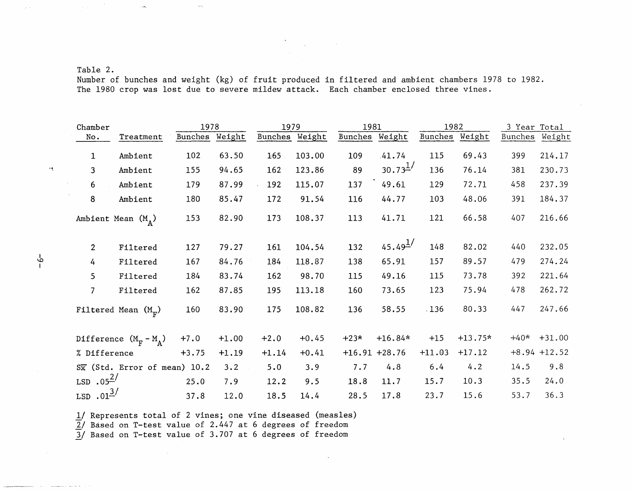#### Table 2.

Number of bunches and weight (kg) of fruit produced in filtered and ambient chambers 1978 to 1982. The 1980 crop was lost due to severe mildew attack. Each chamber enclosed three vines.

| Chamber              |                                           | 1978    |         | 1979           |         | 1981           |                       | 1982     |           | 3 Year Total |                |
|----------------------|-------------------------------------------|---------|---------|----------------|---------|----------------|-----------------------|----------|-----------|--------------|----------------|
| No.                  | Treatment                                 | Bunches | Weight  | Bunches Weight |         | Bunches Weight |                       | Bunches  | Weight    | Bunches      | Weight         |
| 1                    | Ambient                                   | 102     | 63.50   | 165            | 103.00  | 109            | 41.74                 | 115      | 69.43     | 399          | 214.17         |
| 3                    | Ambient                                   | 155     | 94.65   | 162            | 123.86  | 89             | $30.73^{1/2}$         | 136      | 76.14     | 381          | 230.73         |
| 6                    | Ambient                                   | 179     | 87.99   | 192            | 115.07  | 137            | 49.61                 | 129      | 72.71     | 458          | 237.39         |
| 8                    | Ambient                                   | 180     | 85.47   | 172            | 91.54   | 116            | 44.77                 | 103      | 48.06     | 391          | 184.37         |
|                      | Ambient Mean $(M_A)$                      | 153     | 82.90   | 173            | 108.37  | 113            | 41.71                 | 121      | 66.58     | 407          | 216.66         |
| $\overline{2}$       | Filtered                                  | 127     | 79.27   | 161            | 104.54  | 132            | $45.49^{\frac{1}{2}}$ | 148      | 82.02     | 440          | 232.05         |
| 4                    | Filtered                                  | 167     | 84.76   | 184            | 118.87  | 138            | 65.91                 | 157      | 89.57     | 479          | 274.24         |
| 5                    | Filtered                                  | 184     | 83.74   | 162            | 98.70   | 115            | 49.16                 | 115      | 73.78     | 392          | 221.64         |
| $\overline{7}$       | Filtered                                  | 162     | 87.85   | 195            | 113.18  | 160            | 73.65                 | 123      | 75.94     | 478          | 262.72         |
|                      | Filtered Mean $(Mr)$                      | 160     | 83.90   | 175            | 108.82  | 136            | 58.55                 | $-136$   | 80.33     | 447          | 247.66         |
|                      | Difference $(M_F - M_A)$                  | $+7.0$  | $+1.00$ | $+2.0$         | $+0.45$ | $+23*$         | $+16.84*$             | $+15$    | $+13.75*$ | $+40*$       | $+31.00$       |
| % Difference         |                                           | $+3.75$ | $+1.19$ | $+1.14$        | $+0.41$ |                | $+16.91 +28.76$       | $+11.03$ | $+17.12$  |              | $+8.94 +12.52$ |
|                      | $S\overline{x}$ (Std. Error of mean) 10.2 |         | 3.2     | 5.0            | 3.9     | 7.7            | 4.8                   | 6.4      | 4.2       | 14.5         | 9.8            |
| LSD $.05^{2/}$       |                                           | 25.0    | 7.9     | 12.2           | 9.5     | 18.8           | 11.7                  | 15.7     | 10.3      | 35.5         | 24.0           |
| $LSD \cdot 01^{3/2}$ |                                           | 37.8    | 12.0    | 18.5           | 14.4    | 28.5           | 17.8                  | 23.7     | 15.6      | 53.7         | 36.3           |

1/ Represents total of 2 vines; one vine diseased (measles)

 $\overline{2}$ / Based on T-test value of 2.447 at 6 degrees of freedom

 $\sim \epsilon_{\rm g}$ 

 $\rightarrow$ 

 $3/$  Based on T-test value of 3.707 at 6 degrees of freedom

 $\sim$ 

 $-6-$ 

 $\mathcal{A}$ 

 $\sim$   $\sim$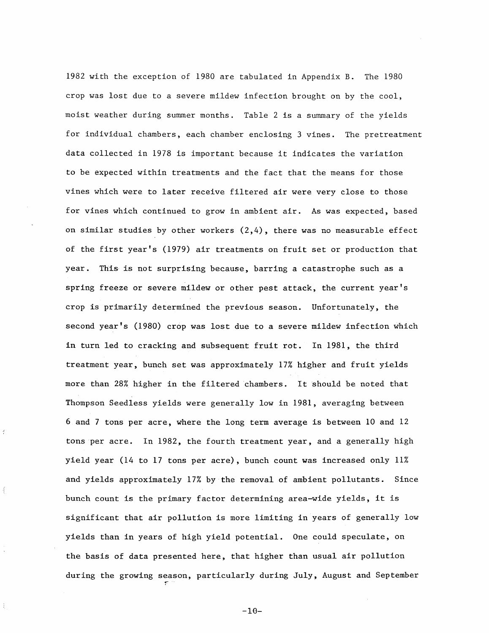1982 with the exception of 1980 are tabulated in Appendix B. The 1980 crop was lost due to a severe mildew infection brought on by the cool, moist weather during summer months. Table 2 is a summary of the yields for individual chambers, each chamber enclosing 3 vines. The pretreatment data collected in 1978 is important because it indicates the variation to be expected within treatments and the fact that the means for those vines which were to later receive filtered air were very close to those for vines which continued to grow in ambient air. As was expected, based on similar studies by other workers  $(2,4)$ , there was no measurable effect of the first year's (1979) air treatments on fruit set or production that year. This is not surprising because, barring a catastrophe such as a spring freeze or severe mildew or other pest attack, the current year's crop is primarily determined the previous season. Unfortunately, the second year's (1980) crop was lost due to a severe mildew infection which in turn led to cracking and subsequent fruit rot. In 1981, the third treatment year, bunch set was approximately 17% higher and fruit yields more than 28% higher in the filtered chambers. It should be noted that Thompson Seedless yields were generally low in 1981, averaging between 6 and 7 tons per acre, where the long term average is between 10 and 12 tons per acre. In 1982, the fourth treatment year, and a generally high yield year (14 to 17 tons per acre), bunch count was increased only 11% and yields approximately 17% by the removal of ambient pollutants. Since bunch count is the primary factor determining area-wide yields, it is significant that air pollution is more limiting in years of generally low yields than in years of high yield potential. One could speculate, on the basis of data presented here, that higher than usual air pollution during the growing season, particularly during July, August and September

 $-10-$ 

r--

 $\ddot{\cdot}$ 

 $\overline{\mathcal{A}}$ 

ŧ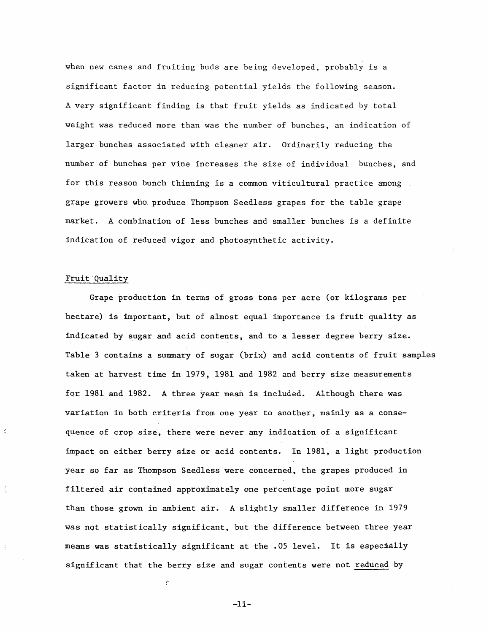when new canes and fruiting buds are being developed, probably is a significant factor in reducing potential yields the following season. A very significant finding is that fruit yields as indicated by total weight was reduced more than was the number of bunches, an indication of larger bunches associated with cleaner air. Ordinarily reducing the number of bunches per vine increases the size of individual bunches, and for this reason bunch thinning is a common viticultural practice among grape growers who. produce Thompson Seedless grapes for the table grape market. A combination of less bunches and smaller bunches is a definite indication of reduced vigor and photosynthetic activity.

#### Fruit Quality

 $\frac{d}{2}$ 

ŧ

Grape production in terms of.gross tons per acre (or kilograms per hectare) is important, but of almost equal importance is fruit quality as indicated by sugar and acid contents, and to a lesser degree berry size. Table 3 contains a summary of sugar (brix) and acid contents of fruit samples taken at harvest time in 1979., 1981 and 1982 and berry size measurements for 1981 and 1982. A three year mean is included. Although there was variation in both criteria from one year to another, mainly as a consequence of crop size, there were never any indication of a significant impact on either berry size or acid contents. In 1981, a light production year so far as Thompson Seedless were concerned, the grapes produced in filtered air contained approximately one percentage point more sugar than those grown in ambient air. A slightly smaller difference in 1979 was not statistically significant, but the difference between three year means was statistically significant at the .05 level. It is especially significant that the berry size and sugar contents were not reduced by

-11-

 $\overline{\phantom{a}}$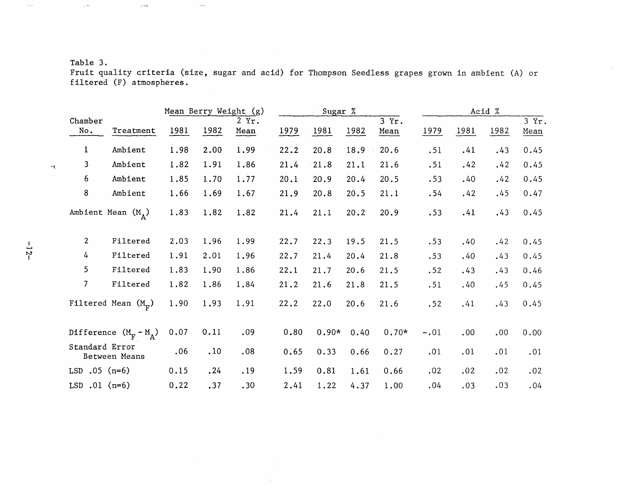### Table 3.

 $\gamma$   $\sim$ 

,  $\rightarrow$ 

 $\rightarrow$  s.

 $\sim 0.1$ 

Fruit quality criteria (size, sugar and acid) for Thompson Seedless grapes grown in ambient (A) or filtered (F) atmospheres.

|                 |                             |      |      | Mean Berry Weight (g) | Sugar % |         |      | Acid %        |        |      |      |               |
|-----------------|-----------------------------|------|------|-----------------------|---------|---------|------|---------------|--------|------|------|---------------|
| Chamber<br>No.  | Treatment                   | 1981 | 1982 | $2$ $Yr$ .<br>Mean    | 1979    | 1981    | 1982 | 3 Yr.<br>Mean | 1979   | 1981 | 1982 | 3 Yr.<br>Mean |
|                 |                             |      |      |                       |         |         |      |               |        |      |      |               |
| $\mathbf{1}$    | Ambient                     | 1.98 | 2.00 | 1.99                  | 22.2    | 20.8    | 18.9 | 20.6          | .51    | .41  | .43  | 0.45          |
| 3               | Ambient                     | 1.82 | 1.91 | 1.86                  | 21.4    | 21.8    | 21.1 | 21.6          | .51    | .42  | .42  | 0.45          |
| 6               | Ambient                     | 1.85 | 1.70 | 1.77                  | 20.1    | 20.9    | 20.4 | 20.5          | .53    | .40  | .42  | 0.45          |
| 8               | Ambient                     | 1.66 | 1.69 | 1.67                  | 21.9    | 20.8    | 20.5 | 21.1          | .54    | .42  | .45  | 0.47          |
|                 | Ambient Mean $(M_A)$        | 1.83 | 1.82 | 1.82                  | 21.4    | 21.1    | 20.2 | 20.9          | .53    | .41  | .43  | 0.45          |
| $\overline{2}$  | Filtered                    | 2.03 | 1.96 | 1.99                  | 22.7    | 22.3    | 19.5 | 21.5          | .53    | .40  | .42  | 0.45          |
| 4               | Filtered                    | 1.91 | 2.01 | 1.96                  | 22.7    | 21.4    | 20.4 | 21.8          | .53    | .40  | .43  | 0.45          |
| 5               | Filtered                    | 1.83 | 1.90 | 1.86                  | 22.1    | 21.7    | 20.6 | 21.5          | .52    | .43  | .43  | 0.46          |
| 7               | Filtered                    | 1.82 | 1.86 | 1.84                  | 21.2    | 21.6    | 21.8 | 21.5          | .51    | .40  | .45  | 0.45          |
|                 | Filtered Mean $(M_{\rm p})$ | 1.90 | 1.93 | 1.91                  | 22.2    | 22.0    | 20.6 | 21.6          | .52    | .41  | .43  | 0.45          |
|                 | Difference $(M_F - M_A)$    | 0.07 | 0.11 | .09                   | 0:80    | $0.90*$ | 0.40 | $0.70*$       | $-.01$ | .00  | .00  | 0.00          |
| Standard Error  | Between Means               | .06  | .10  | .08                   | 0.65    | 0.33    | 0.66 | 0.27          | .01    | .01  | .01  | .01           |
| LSD $.05$ (n=6) |                             | 0.15 | .24  | .19                   | 1.59    | 0.81    | 1.61 | 0.66          | .02    | .02  | .02  | .02           |
| LSD $.01$ (n=6) |                             | 0.22 | .37  | .30                   | 2.41    | 1.22    | 4.37 | 1.00          | .04    | .03  | .03  | .04           |

 $\sim$ 

 $\sim$ 

 $\alpha$  s.

 $-4$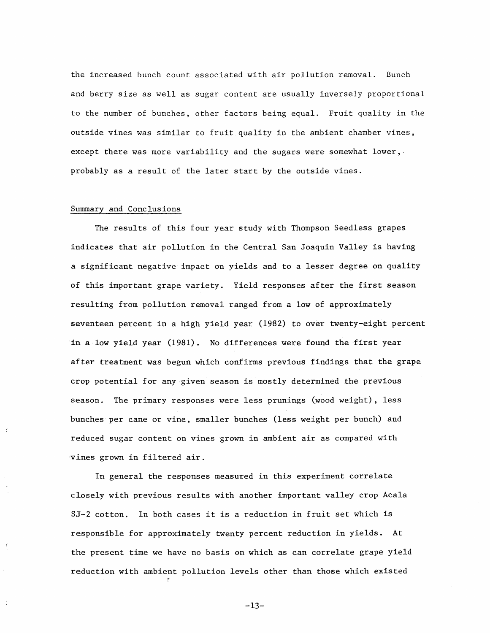the increased bunch count associated with air pollution removal. Bunch and berry size as well as sugar content are usually inversely proportional to the number of bunches, other factors being equal. Fruit quality in the outside vines was similar to fruit quality in the ambient chamber vines, except there was more variability and the sugars were somewhat lower,. probably as a result of the later start by the outside vines.

#### Summary and Conclusions

 $\tilde{z}$ 

 $\mathcal{I}$ 

The results of this four year study with Thompson Seedless grapes indicates that air pollution in the Central San Joaquin Valley is having a significant negative impact on yields and to a lesser degree on quality of this important grape variety. Yield responses after the first season resulting from pollution removal ranged from a low of approximately seventeen percent in a high yield year (1982) to over twenty-eight percent in a low yield year (1981). No differences were found the first year after treatment was begun which confirms previous findings that the grape crop potential for any given season is mostly determined the previous season. The primary responses were less prunings (wood weight), less bunches per cane or vine, smaller bunches (less weight per bunch) and reduced sugar content on vines grown in ambient air as compared with vines grown in filtered air.

In general the responses measured in this experiment correlate closely with previous results with another important valley crop Acala SJ-2 cotton. In both cases it is a reduction in fruit set which is responsible for approximately twenty percent reduction in yields. At the present time we have no basis on which as can correlate grape yield reduction with ambient pollution levels other than those which existed

-13-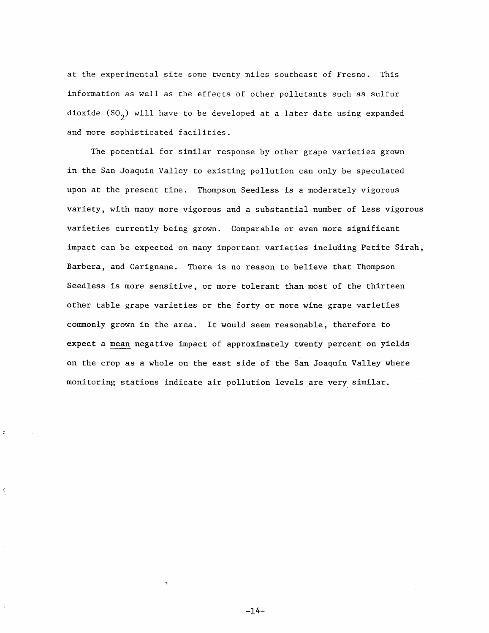at the experimental site some twenty miles southeast of Fresno. This information as well as the effects of other pollutants such as sulfur dioxide (SO<sub>2</sub>) will have to be developed at a later date using expanded and more sophisticated facilities.

The potential for similar response by other grape varieties grown in the San Joaquin Valley to existing pollution can only be speculated upon at the present time. Thompson Seedless is a moderately vigorous variety, with many more vigorous and a substantial number of less vigorous varieties currently being grown. Comparable or even more significant impact can be expected on many important varieties including Petite Sirah, Barbera, and Carignane. There is no reason to believe that Thompson Seedless is more sensitive, or more tolerant than most of the thirteen other table grape varieties or the forty or more wine grape varieties commonly grown in the area. It would seem reasonable, therefore to expect a mean negative impact of approximately twenty percent on yields on the crop as a whole on the east side of the San Joaquin Valley where monitoring stations indicate air pollution levels are very similar.

-14-

 $\mathcal{C}$ 

 $\mathfrak{c}$ 

 $\frac{1}{2}$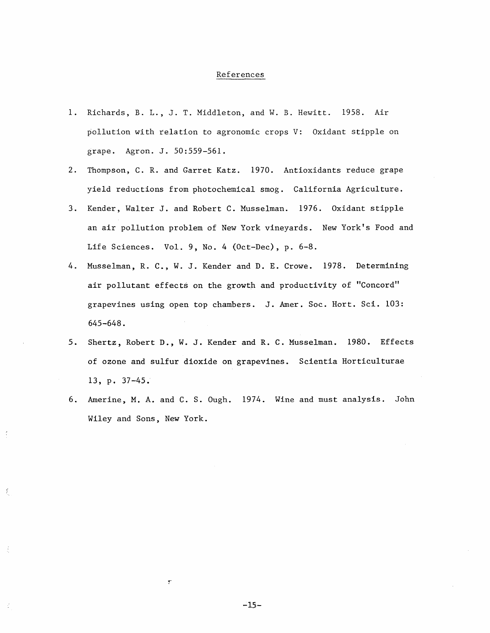#### References

- 1. Richards, B. L., J. T. Middleton, and W. B. Hewitt. 1958. Air pollution with relation to agronomic crops V: Oxidant stipple on grape. Agron. J. 50:559-561.
- 2. Thompson, C.R. and Garret Katz. 1970. Antioxidants reduce grape yield reductions from photochemical smog. California Agriculture.
- 3. Kender, Walter J. and Robert C. Musselman. 1976. Oxidant stipple an air pollution problem of New York vineyards. New York's Food and Life Sciences. Vol. 9, No. 4 (Oct-Dec), p. 6-8.
- 4. Musselman, R. C., W. J. Kender and D. E. Crowe. 1978. Determining air pollutant effects on the growth and productivity of "Concord" grapevines using open top chambers. J. Amer. Soc. Hort. Sci. 103: 645-648.
- 5. Shertz, Robert D., W. J. Kender and R. C. Musselman. 1980. Effects of ozone and sulfur dioxide on grapevines. Scientia Horticulturae 13, p. 37-45.
- 6. Amerine, M.A. and C. S. Ough. 1974. Wine and must analysis. John Wiley and Sons, New York.

 $\ddot{\cdot}$ 

 $\bar{L}$ 

 $\frac{1}{2}$ 

 $-15-$ 

 $\overline{\mathbf{r}}$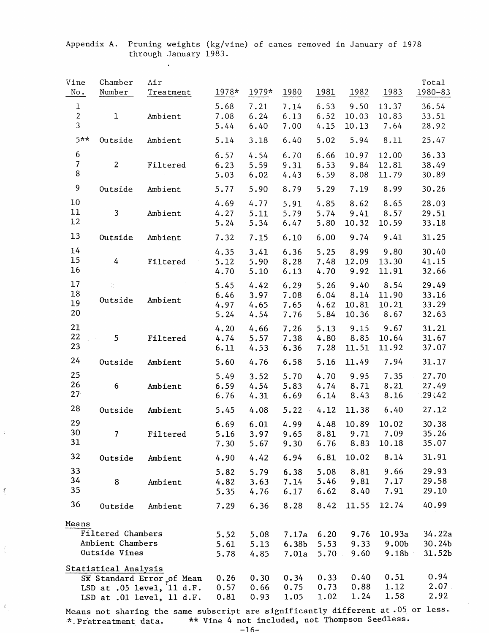| Vine<br>No.                                      | Chamber<br>Number                                      | Air<br>Treatment                                                                        | 1978*                        | 1979*                        | 1980                                | 1981                         | 1982                            | 1983                                 | Total<br>1980-83                 |
|--------------------------------------------------|--------------------------------------------------------|-----------------------------------------------------------------------------------------|------------------------------|------------------------------|-------------------------------------|------------------------------|---------------------------------|--------------------------------------|----------------------------------|
| $\mathbf{1}$<br>$\overline{2}$<br>$\overline{3}$ | $\mathbf{1}$                                           | Ambient                                                                                 | 5.68<br>7.08<br>5.44         | 7.21<br>6.24<br>6.40         | 7.14<br>6.13<br>7.00                | 6.53<br>6.52<br>4.15         | 9.50<br>10.03<br>10.13          | 13.37<br>10.83<br>7.64               | 36.54<br>33.51<br>28.92          |
| $5**$                                            | Outside                                                | Ambient                                                                                 | 5.14                         | 3.18                         | 6.40                                | 5.02                         | 5.94                            | 8.11                                 | 25.47                            |
| 6<br>$\overline{\mathcal{L}}$<br>$\bf 8$         | $2^{\circ}$                                            | Filtered                                                                                | 6.57<br>6.23<br>5.03         | 4.54<br>5.59<br>6.02         | 6.70<br>9.31<br>4.43                | 6.66<br>6.53<br>6.59         | 10.97<br>9.84<br>8.08           | 12.00<br>12.81<br>11.79              | 36.33<br>38.49<br>30.89          |
| 9                                                | Outside                                                | Ambient                                                                                 | 5.77                         | 5.90                         | 8.79                                | 5.29                         | 7.19                            | 8.99                                 | 30.26                            |
| 10<br>11<br>12                                   | $\mathbf{3}$                                           | Ambient                                                                                 | 4.69<br>4.27<br>5.24         | 4.77<br>5.11<br>5.34         | 5.91<br>5.79<br>6.47                | 4.85<br>5.74<br>5.80         | 8.62<br>9.41<br>10.32           | 8.65<br>8.57<br>10.59                | 28.03<br>29.51<br>33.18          |
| 13                                               | Outside                                                | Ambient                                                                                 | 7.32                         | 7.15                         | 6.10                                | 6.00                         | 9.74                            | 9.41                                 | 31.25                            |
| 14<br>15<br>16                                   | $\frac{1}{4}$                                          | Filtered                                                                                | 4.35<br>5.12<br>4.70         | 3.41<br>5.90<br>5.10         | 6.36<br>8.28<br>6.13                | 5.25<br>7.48<br>4.70         | 8.99<br>12.09<br>9.92           | 9.80<br>13.30<br>11.91               | 30.40<br>41.15<br>32.66          |
| 17<br>18<br>19<br>20                             | Outside                                                | Ambient                                                                                 | 5.45<br>6.46<br>4.97<br>5.24 | 4.42<br>3.97<br>4.65<br>4.54 | 6.29<br>7.08<br>7.65<br>7.76        | 5.26<br>6.04<br>4.62<br>5.84 | 9.40<br>8.14<br>10.81<br>10.36  | 8.54<br>11.90<br>10.21<br>8.67       | 29.49<br>33.16<br>33.29<br>32.63 |
| 21<br>22<br>23                                   | 5.                                                     | Filtered                                                                                | 4.20<br>4.74<br>6.11         | 4.66<br>5.57<br>4.53         | 7.26<br>7.38<br>6.36                | 5.13<br>4.80<br>7.28         | 9.15<br>8.85<br>11.51           | 9.67<br>10.64<br>11.92               | 31.21<br>31.67<br>37.07          |
| 24                                               | Outside                                                | Ambient                                                                                 | 5.60                         | 4.76                         | 6.58                                | 5.16                         | 11.49                           | 7.94                                 | 31.17                            |
| 25<br>26<br>27 <sub>2</sub>                      | 6                                                      | Ambient                                                                                 | 5.49<br>6.59<br>6.76         | 3.52<br>4.54<br>4.31         | 5.70<br>5.83<br>6.69                | 4.70<br>4.74<br>6.14         | 9.95<br>8.71<br>8.43            | 7.35<br>8.21<br>8.16                 | 27.70<br>27.49<br>29.42          |
| 28                                               | Outside                                                | Ambient                                                                                 | 5.45                         | 4.08                         | 5.22                                | 4.12                         | 11.38                           | 6.40                                 | 27.12                            |
| 29<br>30<br>31                                   | 7                                                      | Filtered                                                                                | 6.69<br>5.16<br>7.30         | 6.01<br>3.97<br>5.67         | 4.99<br>9.65<br>9.30                | 4.48<br>6.76                 | 10.89<br>8.81 9.71 7.09<br>8.83 | 10.02<br>10.18                       | 30.38<br>35.26<br>35.07          |
| 32                                               | Outside                                                | Ambient                                                                                 | 4.90                         | 4.42                         | 6.94                                | 6.81                         | 10.02                           | 8.14                                 | 31.91                            |
| 33<br>34<br>35                                   | 8                                                      | Ambient                                                                                 | 5.82<br>4.82<br>5.35         | 5.79<br>3.63<br>4.76         | 6.38<br>7.14<br>6.17                | 5.08<br>5.46<br>6.62         | 8.81<br>9.81<br>8.40            | 9,66<br>7.17<br>7.91                 | 29.93<br>29.58<br>29.10          |
| 36                                               | Outside                                                | Ambient                                                                                 | 7.29                         | 6.36                         | 8.28                                | 8.42                         | 11.55                           | 12.74                                | 40.99                            |
| Means                                            | Filtered Chambers<br>Ambient Chambers<br>Outside Vines |                                                                                         | 5.52<br>5.61<br>5.78         | 5.08<br>5.13<br>4.85         | 7.17a<br>6.38 <sub>b</sub><br>7.01a | 6.20<br>5.53<br>5.70         | 9.76<br>9.33<br>9.60            | 10.93a<br>9.00 <sub>b</sub><br>9.18b | 34.22a<br>30.24b<br>31.52b       |
|                                                  | Statistical Analysis                                   | Sx Standard Error of Mean<br>LSD at $.05$ level, $11 d.F.$<br>LSD at .01 level, 11 d.F. | 0.26<br>0.57<br>0.81         | 0.30<br>0.66<br>0.93         | 0.34<br>0.75<br>1.05                | 0.33<br>0.73<br>1.02         | 0.40<br>0.88<br>1.24            | 0.51<br>1.12<br>1.58                 | 0.94<br>2.07<br>2.92             |

#### Appendix A. Pruning weights (kg/vine) of canes removed in January of 1978 through January 1983.

 $\mathbf{r}$ 

 $\tilde{\mathbb{C}}$ 

 $\frac{1}{\sqrt{2}}$ 

 $\mathfrak{t}_\omega$ 

Means not sharing the same subscript are significantly different at  $\cdot$ 05 or less. \* Pretreatment data. \*\* Vine 4 not included, not Thompson Seedless.